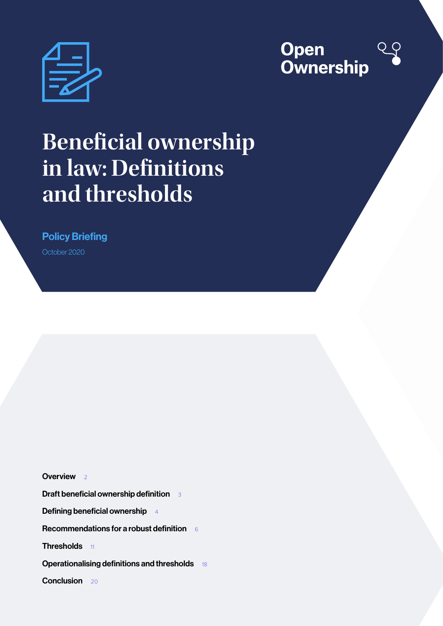



# **Beneficial ownership in law: Definitions and thresholds**

Policy Briefing

October 2020

[Overview](#page-1-0) 2

[Draft beneficial ownership definition](#page-2-0) 3

[Defining beneficial ownership](#page-3-0) 4

[Recommendations for a robust definition](#page-5-0)  $66$ 

[Thresholds](#page-10-0) 11

**[Operationalising definitions and thresholds](#page-17-0)** 18

[Conclusion](#page-19-0) 20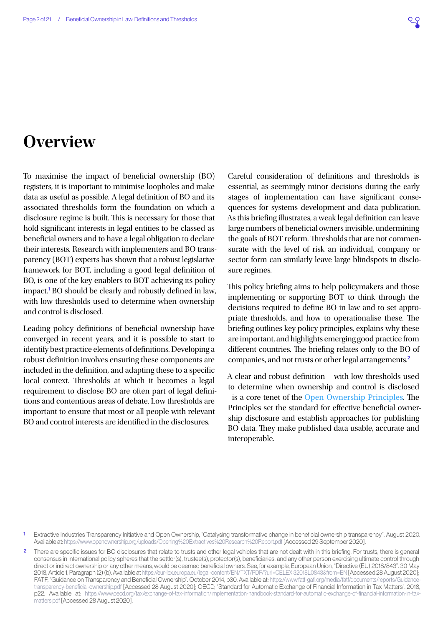### <span id="page-1-0"></span>**Overview**

To maximise the impact of beneficial ownership (BO) registers, it is important to minimise loopholes and make data as useful as possible. A legal definition of BO and its associated thresholds form the foundation on which a disclosure regime is built. This is necessary for those that hold significant interests in legal entities to be classed as beneficial owners and to have a legal obligation to declare their interests. Research with implementers and BO transparency (BOT) experts has shown that a robust legislative framework for BOT, including a good legal definition of BO, is one of the key enablers to BOT achieving its policy impact.<sup>1</sup> BO should be clearly and robustly defined in law, with low thresholds used to determine when ownership and control is disclosed.

Leading policy definitions of beneficial ownership have converged in recent years, and it is possible to start to identify best practice elements of definitions. Developing a robust definition involves ensuring these components are included in the definition, and adapting these to a specific local context. Thresholds at which it becomes a legal requirement to disclose BO are often part of legal definitions and contentious areas of debate. Low thresholds are important to ensure that most or all people with relevant BO and control interests are identified in the disclosures.

Careful consideration of definitions and thresholds is essential, as seemingly minor decisions during the early stages of implementation can have significant consequences for systems development and data publication. As this briefing illustrates, a weak legal definition can leave large numbers of beneficial owners invisible, undermining the goals of BOT reform. Thresholds that are not commensurate with the level of risk an individual, company or sector form can similarly leave large blindspots in disclosure regimes.

This policy briefing aims to help policymakers and those implementing or supporting BOT to think through the decisions required to define BO in law and to set appropriate thresholds, and how to operationalise these. The briefing outlines key policy principles, explains why these are important, and highlights emerging good practice from different countries. The briefing relates only to the BO of companies, and not trusts or other legal arrangements.<sup>2</sup>

A clear and robust definition – with low thresholds used to determine when ownership and control is disclosed – is a core tenet of the [Open Ownership Principles](https://www.openownership.org/framework/). The Principles set the standard for effective beneficial ownership disclosure and establish approaches for publishing BO data. They make published data usable, accurate and interoperable.

<sup>1</sup> Extractive Industries Transparency Initiative and Open Ownership, "Catalysing transformative change in beneficial ownership transparency". August 2020. Available at:<https://www.openownership.org/uploads/Opening%20Extractives%20Research%20Report.pdf>[Accessed 29 September 2020].

<sup>2</sup> There are specific issues for BO disclosures that relate to trusts and other legal vehicles that are not dealt with in this briefing. For trusts, there is general consensus in international policy spheres that the settlor(s), trustee(s), protector(s), beneficiaries, and any other person exercising ultimate control through direct or indirect ownership or any other means, would be deemed beneficial owners. See, for example, European Union, "Directive (EU) 2018/843". 30 May 2018, Article 1, Paragraph (2) (b). Available at <https://eur-lex.europa.eu/legal-content/EN/TXT/PDF/?uri=CELEX:32018L0843&from=EN>[Accessed 28 August 2020]; FATF, "Guidance on Transparency and Beneficial Ownership". October 2014, p30. Available at: [https://www.fatf-gafi.org/media/fatf/documents/reports/Guidance](https://www.fatf-gafi.org/media/fatf/documents/reports/Guidance-transparency-beneficial-ownership.pdf)[transparency-beneficial-ownership.pdf](https://www.fatf-gafi.org/media/fatf/documents/reports/Guidance-transparency-beneficial-ownership.pdf) [Accessed 28 August 2020]; OECD, "Standard for Automatic Exchange of Financial Information in Tax Matters". 2018, p22. Available at: [https://www.oecd.org/tax/exchange-of-tax-information/implementation-handbook-standard-for-automatic-exchange-of-financial-information-in-tax](https://www.oecd.org/tax/exchange-of-tax-information/implementation-handbook-standard-for-automatic-exchange-of-financial-information-in-tax-matters.pdf)[matters.pdf](https://www.oecd.org/tax/exchange-of-tax-information/implementation-handbook-standard-for-automatic-exchange-of-financial-information-in-tax-matters.pdf) [Accessed 28 August 2020].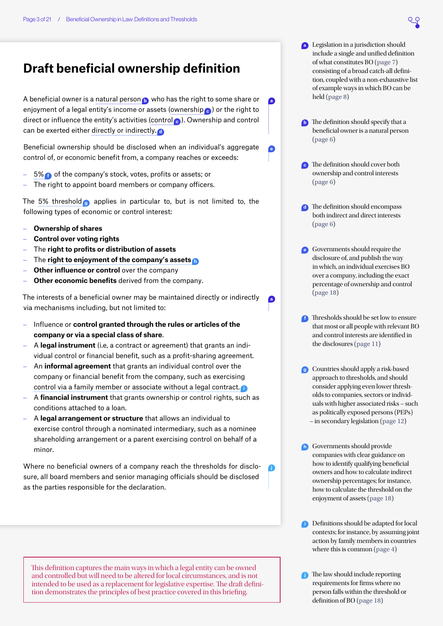### <span id="page-2-0"></span>**Draft beneficial ownership definition**

A beneficial owner is a natural person **<sup>b</sup>** who has the right to some share or enjoyment of a legal entity's income or assets (ownership **<sup>c</sup>** ) or the right to direct or influence the entity's activities (control **<sup>c</sup>** ). Ownership and control can be exerted either directly or indirectly. **<sup>d</sup>**

Beneficial ownership should be disclosed when an individual's aggregate control of, or economic benefit from, a company reaches or exceeds:

- 5% **f** of the company's stock, votes, profits or assets; or
- The right to appoint board members or company officers.

The 5% threshold **<sup>g</sup>** applies in particular to, but is not limited to, the following types of economic or control interest:

- **Ownership of shares**
- **Control over voting rights**
- The **right to profits or distribution of assets**
- The **right to enjoyment of the company's assets <sup>h</sup>**
- **Other influence or control** over the company
- Other economic benefits derived from the company.

The interests of a beneficial owner may be maintained directly or indirectly via mechanisms including, but not limited to:

- Influence or **control granted through the rules or articles of the company or via a special class of share**.
- A **legal instrument** (i.e, a contract or agreement) that grants an individual control or financial benefit, such as a profit-sharing agreement.
- An **informal agreement** that grants an individual control over the company or financial benefit from the company, such as exercising control via a family member or associate without a legal contract. **<sup>i</sup>**
- A **financial instrument** that grants ownership or control rights, such as conditions attached to a loan.
- A **legal arrangement or structure** that allows an individual to exercise control through a nominated intermediary, such as a nominee shareholding arrangement or a parent exercising control on behalf of a minor.

Where no beneficial owners of a company reach the thresholds for disclosure, all board members and senior managing officials should be disclosed as the parties responsible for the declaration.

This definition captures the main ways in which a legal entity can be owned and controlled but will need to be altered for local circumstances, and is not intended to be used as a replacement for legislative expertise. The draft definition demonstrates the principles of best practice covered in this briefing.

**b** The definition should specify that a beneficial owner is a natural person ([page 6](#page-5-3))

**a**

**e**

**a**

**j**

- **<sup>c</sup>** The definition should cover both ownership and control interests ([page 6](#page-5-2))
- **d** The definition should encompass both indirect and direct interests ([page 6](#page-5-1))
- **<sup>e</sup>** Governments should require the disclosure of, and publish the way in which, an individual exercises BO over a company, including the exact percentage of ownership and control ([page 18](#page-17-3))
- **f** Thresholds should be set low to ensure that most or all people with relevant BO and control interests are identified in the disclosures ([page 11](#page-10-1))
- **<sup>g</sup>** Countries should apply a risk-based approach to thresholds, and should consider applying even lower thresholds to companies, sectors or individuals with higher associated risks – such as politically exposed persons (PEPs) – in secondary legislation ([page 12](#page-11-0))
- **h** Governments should provide companies with clear guidance on how to identify qualifying beneficial owners and how to calculate indirect ownership percentages; for instance, how to calculate the threshold on the enjoyment of assets ([page 18](#page-17-2))
- **i** Definitions should be adapted for local contexts; for instance, by assuming joint action by family members in countries where this is common ([page 4](#page-3-1))
- **<sup>j</sup>** The law should include reporting requirements for firms where no person falls within the threshold or definition of BO ([page 18](#page-17-1))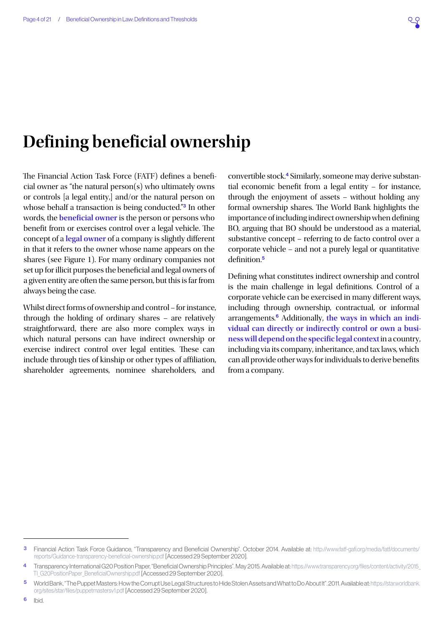## <span id="page-3-0"></span>**Defining beneficial ownership**

The Financial Action Task Force (FATF) defines a beneficial owner as "the natural person(s) who ultimately owns or controls [a legal entity,] and/or the natural person on whose behalf a transaction is being conducted."<sup>3</sup> In other words, the **beneficial owner** is the person or persons who benefit from or exercises control over a legal vehicle. The concept of a **legal owner** of a company is slightly different in that it refers to the owner whose name appears on the shares (see [Figure 1](#page-4-0)). For many ordinary companies not set up for illicit purposes the beneficial and legal owners of a given entity are often the same person, but this is far from always being the case.

Whilst direct forms of ownership and control – for instance, through the holding of ordinary shares – are relatively straightforward, there are also more complex ways in which natural persons can have indirect ownership or exercise indirect control over legal entities. These can include through ties of kinship or other types of affiliation, shareholder agreements, nominee shareholders, and

convertible stock.4 Similarly, someone may derive substantial economic benefit from a legal entity – for instance, through the enjoyment of assets – without holding any formal ownership shares. The World Bank highlights the importance of including indirect ownership when defining BO, arguing that BO should be understood as a material, substantive concept – referring to de facto control over a corporate vehicle – and not a purely legal or quantitative definition.<sup>5</sup>

<span id="page-3-1"></span>Defining what constitutes indirect ownership and control is the main challenge in legal definitions. Control of a corporate vehicle can be exercised in many different ways, including through ownership, contractual, or informal arrangements.6 Additionally, **the ways in which an individual can directly or indirectly control or own a business will depend on the specific legal context** in a country, including via its company, inheritance, and tax laws, which can all provide other ways for individuals to derive benefits from a company.

<sup>3</sup> Financial Action Task Force Guidance, "Transparency and Beneficial Ownership". October 2014. Available at: [http://www.fatf-gafi.org/media/fatf/documents/](http://www.fatf-gafi.org/media/fatf/documents/reports/Guidance-transparency-beneficial-ownership.pdf) [reports/Guidance-transparency-beneficial-ownership.pdf](http://www.fatf-gafi.org/media/fatf/documents/reports/Guidance-transparency-beneficial-ownership.pdf) [Accessed 29 September 2020].

<sup>4</sup> Transparency International G20 Position Paper, "Beneficial Ownership Principles". May 2015. Available at: [https://www.transparency.org/files/content/activity/2015\\_](https://www.transparency.org/files/content/activity/2015_TI_G20PositionPaper_BeneficialOwnership.pdf) [TI\\_G20PositionPaper\\_BeneficialOwnership.pdf](https://www.transparency.org/files/content/activity/2015_TI_G20PositionPaper_BeneficialOwnership.pdf) [Accessed 29 September 2020].

<sup>5</sup> World Bank, "The Puppet Masters: How the Corrupt Use Legal Structures to Hide Stolen Assets and What to Do About It". 2011. Available at: [https://star.worldbank.](https://star.worldbank.org/sites/star/files/puppetmastersv1.pdf) [org/sites/star/files/puppetmastersv1.pdf](https://star.worldbank.org/sites/star/files/puppetmastersv1.pdf) [Accessed 29 September 2020].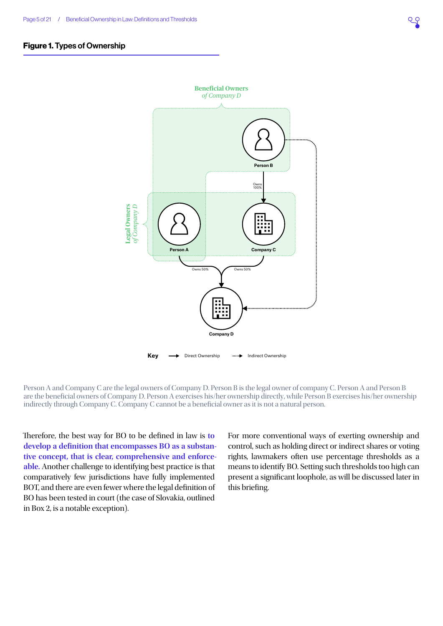#### Figure 1. Types of Ownership

<span id="page-4-0"></span>

Person A and Company C are the legal owners of Company D. Person B is the legal owner of company C. Person A and Person B are the beneficial owners of Company D. Person A exercises his/her ownership directly, while Person B exercises his/her ownership indirectly through Company C. Company C cannot be a beneficial owner as it is not a natural person.

Therefore, the best way for BO to be defined in law is **to develop a definition that encompasses BO as a substantive concept, that is clear, comprehensive and enforceable.** Another challenge to identifying best practice is that comparatively few jurisdictions have fully implemented BOT, and there are even fewer where the legal definition of BO has been tested in court (the case of Slovakia, outlined in [Box 2](#page-8-0), is a notable exception).

For more conventional ways of exerting ownership and control, such as holding direct or indirect shares or voting rights, lawmakers often use percentage thresholds as a means to identify BO. Setting such thresholds too high can present a significant loophole, as will be discussed later in this briefing.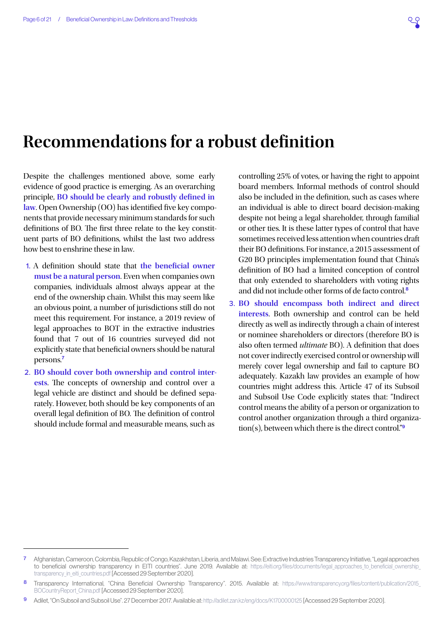### <span id="page-5-0"></span>**Recommendations for a robust definition**

Despite the challenges mentioned above, some early evidence of good practice is emerging. As an overarching principle, **BO should be clearly and robustly defined in law**. Open Ownership (OO) has identified five key components that provide necessary minimum standards for such definitions of BO. The first three relate to the key constituent parts of BO definitions, whilst the last two address how best to enshrine these in law.

- <span id="page-5-3"></span>1. A definition should state that **the beneficial owner must be a natural person**. Even when companies own companies, individuals almost always appear at the end of the ownership chain. Whilst this may seem like an obvious point, a number of jurisdictions still do not meet this requirement. For instance, a 2019 review of legal approaches to BOT in the extractive industries found that 7 out of 16 countries surveyed did not explicitly state that beneficial owners should be natural persons.<sup>7</sup>
- <span id="page-5-2"></span>2. **BO should cover both ownership and control interests**. The concepts of ownership and control over a legal vehicle are distinct and should be defined separately. However, both should be key components of an overall legal definition of BO. The definition of control should include formal and measurable means, such as

controlling 25% of votes, or having the right to appoint board members. Informal methods of control should also be included in the definition, such as cases where an individual is able to direct board decision-making despite not being a legal shareholder, through familial or other ties. It is these latter types of control that have sometimes received less attention when countries draft their BO definitions. For instance, a 2015 assessment of G20 BO principles implementation found that China's definition of BO had a limited conception of control that only extended to shareholders with voting rights and did not include other forms of de facto control.<sup>8</sup>

<span id="page-5-1"></span>3. **BO should encompass both indirect and direct interests**. Both ownership and control can be held directly as well as indirectly through a chain of interest or nominee shareholders or directors (therefore BO is also often termed *ultimate* BO). A definition that does not cover indirectly exercised control or ownership will merely cover legal ownership and fail to capture BO adequately. Kazakh law provides an example of how countries might address this. Article 47 of its Subsoil and Subsoil Use Code explicitly states that: "Indirect control means the ability of a person or organization to control another organization through a third organization(s), between which there is the direct control."9

<sup>7</sup> Afghanistan, Cameroon, Colombia, Republic of Congo, Kazakhstan, Liberia, and Malawi. See: Extractive Industries Transparency Initiative, "Legal approaches to beneficial ownership transparency in EITI countries". June 2019. Available at: [https://eiti.org/files/documents/legal\\_approaches\\_to\\_beneficial\\_ownership\\_](https://eiti.org/files/documents/legal_approaches_to_beneficial_ownership_transparency_in_eiti_countries.pdf) [transparency\\_in\\_eiti\\_countries.pdf](https://eiti.org/files/documents/legal_approaches_to_beneficial_ownership_transparency_in_eiti_countries.pdf) [Accessed 29 September 2020].

<sup>8</sup> Transparency International, "China Beneficial Ownership Transparency". 2015. Available at: https://www.transparency.org/files/content/publication/2015 [BOCountryReport\\_China.pdf](https://www.transparency.org/files/content/publication/2015_BOCountryReport_China.pdf) [Accessed 29 September 2020].

<sup>9</sup> Adilet, "On Subsoil and Subsoil Use". 27 December 2017. Available at:<http://adilet.zan.kz/eng/docs/K1700000125>[Accessed 29 September 2020].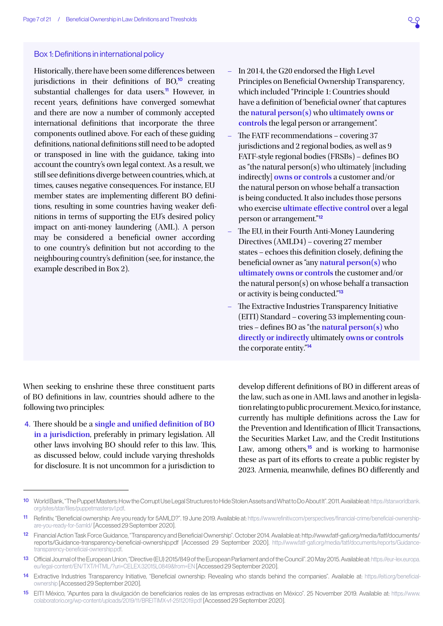#### Box 1: Definitions in international policy

Historically, there have been some differences between jurisdictions in their definitions of  $BO<sup>10</sup>$  creating substantial challenges for data users.<sup>11</sup> However, in recent years, definitions have converged somewhat and there are now a number of commonly accepted international definitions that incorporate the three components outlined above. For each of these guiding definitions, national definitions still need to be adopted or transposed in line with the guidance, taking into account the country's own legal context. As a result, we still see definitions diverge between countries, which, at times, causes negative consequences. For instance, EU member states are implementing different BO definitions, resulting in some countries having weaker definitions in terms of supporting the EU's desired policy impact on anti-money laundering (AML). A person may be considered a beneficial owner according to one country's definition but not according to the neighbouring country's definition (see, for instance, the example described in [Box 2](#page-8-0)).

- In 2014, the G20 endorsed the High Level Principles on Beneficial Ownership Transparency, which included "Principle 1: Countries should have a definition of 'beneficial owner' that captures the **natural person(s)** who **ultimately owns or controls** the legal person or arrangement".
- The FATF recommendations covering 37 jurisdictions and 2 regional bodies, as well as 9 FATF-style regional bodies (FRSBs) – defines BO as "the natural person(s) who ultimately [including indirectly] **owns or controls** a customer and/or the natural person on whose behalf a transaction is being conducted. It also includes those persons who exercise **ultimate effective control** over a legal person or arrangement."<sup>12</sup>
- The EU, in their Fourth Anti-Money Laundering Directives (AMLD4) – covering 27 member states – echoes this definition closely, defining the beneficial owner as "any **natural person(s)** who **ultimately owns or controls** the customer and/or the natural person(s) on whose behalf a transaction or activity is being conducted."<sup>13</sup>
- The Extractive Industries Transparency Initiative (EITI) Standard – covering 53 implementing countries – defines BO as "the **natural person(s)** who **directly or indirectly** ultimately **owns or controls** the corporate entity."<sup>14</sup>

When seeking to enshrine these three constituent parts of BO definitions in law, countries should adhere to the following two principles:

<span id="page-6-0"></span>4. There should be a **single and unified definition of BO in a jurisdiction**, preferably in primary legislation. All other laws involving BO should refer to this law. This, as discussed below, could include varying thresholds for disclosure. It is not uncommon for a jurisdiction to

develop different definitions of BO in different areas of the law, such as one in AML laws and another in legislation relating to public procurement. Mexico, for instance, currently has multiple definitions across the Law for the Prevention and Identification of Illicit Transactions, the Securities Market Law, and the Credit Institutions Law, among others,<sup>15</sup> and is working to harmonise these as part of its efforts to create a public register by 2023. Armenia, meanwhile, defines BO differently and

<sup>10</sup> World Bank, "The Puppet Masters: How the Corrupt Use Legal Structures to Hide Stolen Assets and What to Do About It". 2011. Available at: [https://star.worldbank.](https://star.worldbank.org/sites/star/files/puppetmastersv1.pdf) [org/sites/star/files/puppetmastersv1.pdf](https://star.worldbank.org/sites/star/files/puppetmastersv1.pdf).

<sup>11</sup> Refinitiv, "Beneficial ownership: Are you ready for 5AMLD?". 19 June 2019. Available at: [https://www.refinitiv.com/perspectives/financial-crime/beneficial-ownership](https://www.refinitiv.com/perspectives/financial-crime/beneficial-ownership-are-you-ready-for-5amld/)[are-you-ready-for-5amld/](https://www.refinitiv.com/perspectives/financial-crime/beneficial-ownership-are-you-ready-for-5amld/) [Accessed 29 September 2020].

<sup>12</sup> Financial Action Task Force Guidance, "Transparency and Beneficial Ownership". October 2014. Available at: http://www.fatf-gafi.org/media/fatf/documents/ reports/Guidance-transparency-beneficial-ownership.pdf [Accessed 29 September 2020]. [http://www.fatf-gafi.org/media/fatf/documents/reports/Guidance](http://www.fatf-gafi.org/media/fatf/documents/reports/Guidance-transparency-beneficial-ownership.pdf)[transparency-beneficial-ownership.pdf](http://www.fatf-gafi.org/media/fatf/documents/reports/Guidance-transparency-beneficial-ownership.pdf).

<sup>13</sup> Official Journal of the European Union, "Directive (EU) 2015/849 of the European Parliament and of the Council". 20 May 2015. Available at: [https://eur-lex.europa.](https://eur-lex.europa.eu/legal-content/EN/TXT/HTML/?uri=CELEX:32015L0849&from=EN) [eu/legal-content/EN/TXT/HTML/?uri=CELEX:32015L0849&from=EN](https://eur-lex.europa.eu/legal-content/EN/TXT/HTML/?uri=CELEX:32015L0849&from=EN) [Accessed 29 September 2020].

<sup>14</sup> Extractive Industries Transparency Initiative, "Beneficial ownership: Revealing who stands behind the companies". Available at: [https://eiti.org/beneficial](https://eiti.org/beneficial-ownership)[ownership](https://eiti.org/beneficial-ownership) [Accessed 29 September 2020].

<sup>15</sup> EITI México, "Apuntes para la divulgación de beneficiarios reales de las empresas extractivas en México". 25 November 2019. Available at: [https://www.](https://www.colaboratorio.org/wp-content/uploads/2019/11/BREITIMX-vf-25112019.pdf) [colaboratorio.org/wp-content/uploads/2019/11/BREITIMX-vf-25112019.pdf](https://www.colaboratorio.org/wp-content/uploads/2019/11/BREITIMX-vf-25112019.pdf) [Accessed 29 September 2020].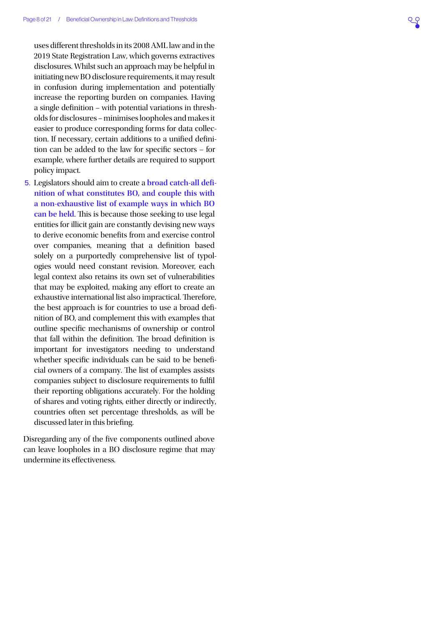uses different thresholds in its 2008 AML law and in the 2019 State Registration Law, which governs extractives disclosures. Whilst such an approach may be helpful in initiating new BO disclosure requirements, it may result in confusion during implementation and potentially increase the reporting burden on companies. Having a single definition – with potential variations in thresholds for disclosures – minimises loopholes and makes it easier to produce corresponding forms for data collection. If necessary, certain additions to a unified definition can be added to the law for specific sectors – for example, where further details are required to support policy impact.

<span id="page-7-0"></span>5. Legislators should aim to create a **broad catch-all definition of what constitutes BO, and couple this with a non-exhaustive list of example ways in which BO can be held**. This is because those seeking to use legal entities for illicit gain are constantly devising new ways to derive economic benefits from and exercise control over companies, meaning that a definition based solely on a purportedly comprehensive list of typologies would need constant revision. Moreover, each legal context also retains its own set of vulnerabilities that may be exploited, making any effort to create an exhaustive international list also impractical. Therefore, the best approach is for countries to use a broad definition of BO, and complement this with examples that outline specific mechanisms of ownership or control that fall within the definition. The broad definition is important for investigators needing to understand whether specific individuals can be said to be beneficial owners of a company. The list of examples assists companies subject to disclosure requirements to fulfil their reporting obligations accurately. For the holding of shares and voting rights, either directly or indirectly, countries often set percentage thresholds, as will be discussed later in this briefing.

Disregarding any of the five components outlined above can leave loopholes in a BO disclosure regime that may undermine its effectiveness.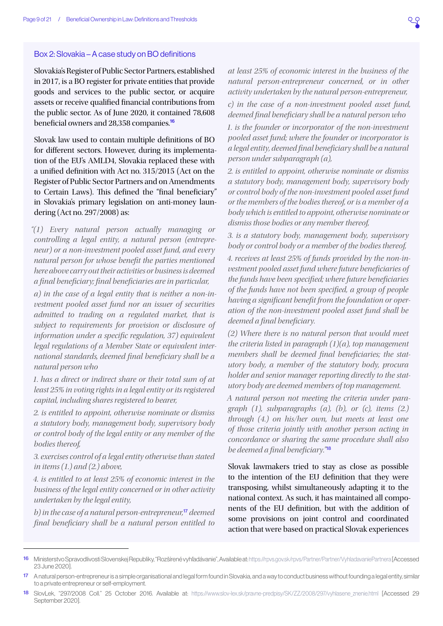#### <span id="page-8-0"></span>Box 2: Slovakia – A case study on BO definitions

Slovakia's Register of Public Sector Partners, established in 2017, is a BO register for private entities that provide goods and services to the public sector, or acquire assets or receive qualified financial contributions from the public sector. As of June 2020, it contained 78,608 beneficial owners and 28,358 companies.<sup>16</sup>

Slovak law used to contain multiple definitions of BO for different sectors. However, during its implementation of the EU's AMLD4, Slovakia replaced these with a unified definition with Act no. 315/2015 (Act on the Register of Public Sector Partners and on Amendments to Certain Laws). This defined the "final beneficiary" in Slovakia's primary legislation on anti-money laundering (Act no. 297/2008) as:

*"(1) Every natural person actually managing or controlling a legal entity, a natural person (entrepreneur) or a non-investment pooled asset fund, and every natural person for whose benefit the parties mentioned here above carry out their activities or business is deemed a final beneficiary; final beneficiaries are in particular,*

*a) in the case of a legal entity that is neither a non-investment pooled asset fund nor an issuer of securities admitted to trading on a regulated market, that is subject to requirements for provision or disclosure of information under a specific regulation, 37) equivalent legal regulations of a Member State or equivalent international standards, deemed final beneficiary shall be a natural person who*

*1. has a direct or indirect share or their total sum of at least 25% in voting rights in a legal entity or its registered capital, including shares registered to bearer,*

*2. is entitled to appoint, otherwise nominate or dismiss a statutory body, management body, supervisory body or control body of the legal entity or any member of the bodies thereof,*

*3. exercises control of a legal entity otherwise than stated in items (1.) and (2.) above,*

*4. is entitled to at least 25% of economic interest in the business of the legal entity concerned or in other activity undertaken by the legal entity,*

*b) in the case of a natural person-entrepreneur,*<sup>17</sup> *deemed final beneficiary shall be a natural person entitled to* 

*at least 25% of economic interest in the business of the natural person-entrepreneur concerned, or in other activity undertaken by the natural person-entrepreneur,*

*c) in the case of a non-investment pooled asset fund, deemed final beneficiary shall be a natural person who*

*1. is the founder or incorporator of the non-investment pooled asset fund; where the founder or incorporator is a legal entity, deemed final beneficiary shall be a natural person under subparagraph (a),*

*2. is entitled to appoint, otherwise nominate or dismiss a statutory body, management body, supervisory body or control body of the non-investment pooled asset fund or the members of the bodies thereof, or is a member of a body which is entitled to appoint, otherwise nominate or dismiss those bodies or any member thereof,*

*3. is a statutory body, management body, supervisory body or control body or a member of the bodies thereof,*

*4. receives at least 25% of funds provided by the non-investment pooled asset fund where future beneficiaries of the funds have been specified; where future beneficiaries of the funds have not been specified, a group of people having a significant benefit from the foundation or operation of the non-investment pooled asset fund shall be deemed a final beneficiary.*

*(2) Where there is no natural person that would meet the criteria listed in paragraph (1)(a), top management members shall be deemed final beneficiaries; the statutory body, a member of the statutory body, procura holder and senior manager reporting directly to the statutory body are deemed members of top management.*

*A natural person not meeting the criteria under paragraph (1), subparagraphs (a), (b), or (c), items (2.) through (4.) on his/her own, but meets at least one of those criteria jointly with another person acting in concordance or sharing the same procedure shall also be deemed a final beneficiary."*<sup>18</sup>

Slovak lawmakers tried to stay as close as possible to the intention of the EU definition that they were transposing, whilst simultaneously adapting it to the national context. As such, it has maintained all components of the EU definition, but with the addition of some provisions on joint control and coordinated action that were based on practical Slovak experiences

<sup>16</sup> Ministerstvo Spravodlivosti Slovenskej Republiky, "Rozšírené vyhľadávanie", Available at:<https://rpvs.gov.sk/rpvs/Partner/Partner/VyhladavaniePartnera>[Accessed 23 June 2020].

<sup>17</sup> A natural person-entrepreneur is a simple organisational and legal form found in Slovakia, and a way to conduct business without founding a legal entity, similar to a private entrepreneur or self-employment.

<sup>18</sup> SlovLek, "297/2008 Coll." 25 October 2016. Available at: [https://www.slov-lex.sk/pravne-predpisy/SK/ZZ/2008/297/vyhlasene\\_znenie.html](https://www.slov-lex.sk/pravne-predpisy/SK/ZZ/2008/297/vyhlasene_znenie.html) [Accessed 29 September 2020].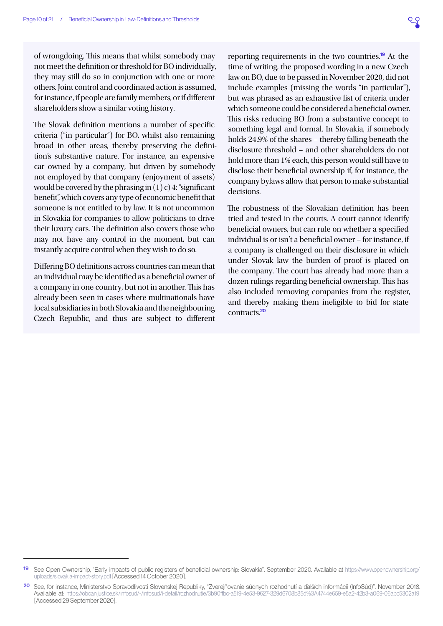of wrongdoing. This means that whilst somebody may not meet the definition or threshold for BO individually, they may still do so in conjunction with one or more others. Joint control and coordinated action is assumed, for instance, if people are family members, or if different shareholders show a similar voting history.

The Slovak definition mentions a number of specific criteria ("in particular") for BO, whilst also remaining broad in other areas, thereby preserving the definition's substantive nature. For instance, an expensive car owned by a company, but driven by somebody not employed by that company (enjoyment of assets) would be covered by the phrasing in  $(1)$  c) 4: "significant benefit", which covers any type of economic benefit that someone is not entitled to by law. It is not uncommon in Slovakia for companies to allow politicians to drive their luxury cars. The definition also covers those who may not have any control in the moment, but can instantly acquire control when they wish to do so.

Differing BO definitions across countries can mean that an individual may be identified as a beneficial owner of a company in one country, but not in another. This has already been seen in cases where multinationals have local subsidiaries in both Slovakia and the neighbouring Czech Republic, and thus are subject to different

reporting requirements in the two countries.<sup>19</sup> At the time of writing, the proposed wording in a new Czech law on BO, due to be passed in November 2020, did not include examples (missing the words "in particular"), but was phrased as an exhaustive list of criteria under which someone could be considered a beneficial owner. This risks reducing BO from a substantive concept to something legal and formal. In Slovakia, if somebody holds 24.9% of the shares – thereby falling beneath the disclosure threshold – and other shareholders do not hold more than 1% each, this person would still have to disclose their beneficial ownership if, for instance, the company bylaws allow that person to make substantial decisions.

The robustness of the Slovakian definition has been tried and tested in the courts. A court cannot identify beneficial owners, but can rule on whether a specified individual is or isn't a beneficial owner – for instance, if a company is challenged on their disclosure in which under Slovak law the burden of proof is placed on the company. The court has already had more than a dozen rulings regarding beneficial ownership. This has also included removing companies from the register, and thereby making them ineligible to bid for state contracts<sup>20</sup>

<sup>19</sup> See Open Ownership, "Early impacts of public registers of beneficial ownership: Slovakia". September 2020. Available at [https://www.openownership.org/](https://www.openownership.org/uploads/slovakia-impact-story.pdf) [uploads/slovakia-impact-story.pdf](https://www.openownership.org/uploads/slovakia-impact-story.pdf) [Accessed 14 October 2020].

<sup>20</sup> See, for instance, Ministerstvo Spravodlivosti Slovenskej Republiky, "Zverejňovanie súdnych rozhodnutí a ďalších informácií (InfoSúd)". November 2018. Available at: <https://obcan.justice.sk/infosud/-/infosud/i-detail/rozhodnutie/3b90ffbc-a519-4e53-9627-329d6708b85d%3A4744e659-e5a2-42b3-a069-06abc5302a19> [Accessed 29 September 2020].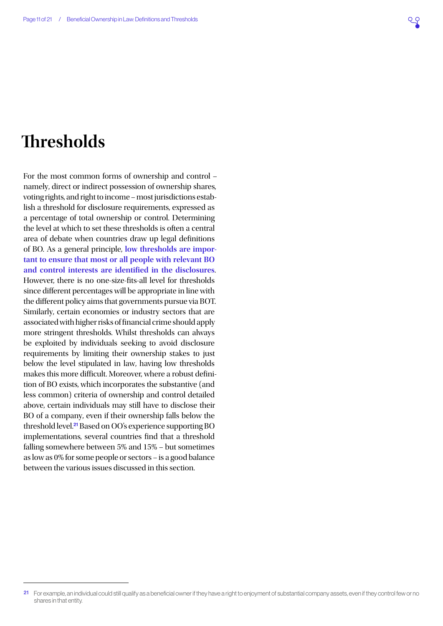### <span id="page-10-1"></span><span id="page-10-0"></span>**Thresholds**

For the most common forms of ownership and control – namely, direct or indirect possession of ownership shares, voting rights, and right to income – most jurisdictions establish a threshold for disclosure requirements, expressed as a percentage of total ownership or control. Determining the level at which to set these thresholds is often a central area of debate when countries draw up legal definitions of BO. As a general principle, **low thresholds are important to ensure that most or all people with relevant BO and control interests are identified in the disclosures**. However, there is no one-size-fits-all level for thresholds since different percentages will be appropriate in line with the different policy aims that governments pursue via BOT. Similarly, certain economies or industry sectors that are associated with higher risks of financial crime should apply more stringent thresholds. Whilst thresholds can always be exploited by individuals seeking to avoid disclosure requirements by limiting their ownership stakes to just below the level stipulated in law, having low thresholds makes this more difficult. Moreover, where a robust definition of BO exists, which incorporates the substantive (and less common) criteria of ownership and control detailed above, certain individuals may still have to disclose their BO of a company, even if their ownership falls below the threshold level.<sup>21</sup> Based on OO's experience supporting BO implementations, several countries find that a threshold falling somewhere between 5% and 15% – but sometimes as low as 0% for some people or sectors – is a good balance between the various issues discussed in this section.

<sup>21</sup> For example, an individual could still qualify as a beneficial owner if they have a right to enjoyment of substantial company assets, even if they control few or no shares in that entity.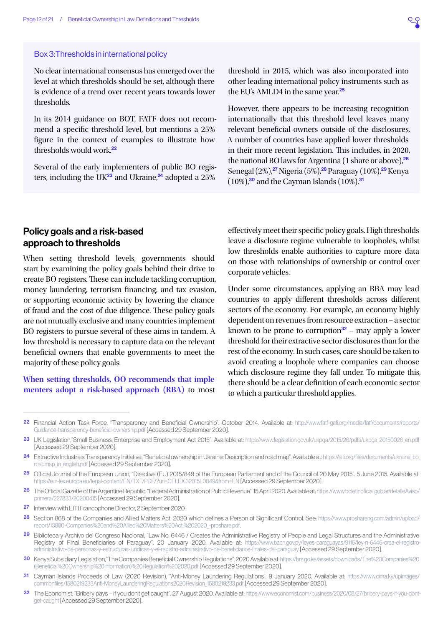#### Box 3: Thresholds in international policy

No clear international consensus has emerged over the level at which thresholds should be set, although there is evidence of a trend over recent years towards lower thresholds.

In its 2014 guidance on BOT, FATF does not recommend a specific threshold level, but mentions a 25% figure in the context of examples to illustrate how thresholds would work.<sup>22</sup>

Several of the early implementers of public BO registers, including the UK $^{23}$  and Ukraine,<sup>24</sup> adopted a 25%

threshold in 2015, which was also incorporated into other leading international policy instruments such as the EU's AMLD4 in the same year.<sup>25</sup>

However, there appears to be increasing recognition internationally that this threshold level leaves many relevant beneficial owners outside of the disclosures. A number of countries have applied lower thresholds in their more recent legislation. This includes, in 2020, the national BO laws for Argentina (1 share or above),<sup>26</sup> Senegal (2%),<sup>27</sup> Nigeria (5%),<sup>28</sup> Paraguay (10%),<sup>29</sup> Kenya  $(10\%)$ ,<sup>30</sup> and the Cayman Islands  $(10\%)$ .<sup>31</sup>

#### <span id="page-11-0"></span>Policy goals and a risk-based approach to thresholds

When setting threshold levels, governments should start by examining the policy goals behind their drive to create BO registers. These can include tackling corruption, money laundering, terrorism financing, and tax evasion, or supporting economic activity by lowering the chance of fraud and the cost of due diligence. These policy goals are not mutually exclusive and many countries implement BO registers to pursue several of these aims in tandem. A low threshold is necessary to capture data on the relevant beneficial owners that enable governments to meet the majority of these policy goals.

#### **When setting thresholds, OO recommends that implementers adopt a risk-based approach (RBA)** to most

effectively meet their specific policy goals. High thresholds leave a disclosure regime vulnerable to loopholes, whilst low thresholds enable authorities to capture more data on those with relationships of ownership or control over corporate vehicles.

Under some circumstances, applying an RBA may lead countries to apply different thresholds across different sectors of the economy. For example, an economy highly dependent on revenues from resource extraction – a sector known to be prone to corruption $32$  – may apply a lower threshold for their extractive sector disclosures than for the rest of the economy. In such cases, care should be taken to avoid creating a loophole where companies can choose which disclosure regime they fall under. To mitigate this, there should be a clear definition of each economic sector to which a particular threshold applies.

<sup>22</sup> Financial Action Task Force, "Transparency and Beneficial Ownership". October 2014. Available at: [http://www.fatf-gafi.org/media/fatf/documents/reports/](http://www.fatf-gafi.org/media/fatf/documents/reports/Guidance-transparency-beneficial-ownership.pdf) [Guidance-transparency-beneficial-ownership.pdf](http://www.fatf-gafi.org/media/fatf/documents/reports/Guidance-transparency-beneficial-ownership.pdf) [Accessed 29 September 2020].

<sup>23</sup> UK Legislation,"Small Business, Enterprise and Employment Act 2015". Available at: [https://www.legislation.gov.uk/ukpga/2015/26/pdfs/ukpga\\_20150026\\_en.pdf](https://www.legislation.gov.uk/ukpga/2015/26/pdfs/ukpga_20150026_en.pdf) [Accessed 29 September 2020].

<sup>24</sup> Extractive Industries Transparency Initiative, "Beneficial ownership in Ukraine: Description and road map". Available at: [https://eiti.org/files/documents/ukraine\\_bo\\_](https://eiti.org/files/documents/ukraine_bo_roadmap_in_english.pdf) [roadmap\\_in\\_english.pdf](https://eiti.org/files/documents/ukraine_bo_roadmap_in_english.pdf) [Accessed 29 September 2020].

<sup>25</sup> Official Journal of the European Union, "Directive (EU) 2015/849 of the European Parliament and of the Council of 20 May 2015". 5 June 2015. Available at: <https://eur-lex.europa.eu/legal-content/EN/TXT/PDF/?uri=CELEX:32015L0849&from=EN>[Accessed 29 September 2020].

<sup>26</sup> The Official Gazette of the Argentine Republic, "Federal Administration of Public Revenue". 15 April 2020. Available at: [https://www.boletinoficial.gob.ar/detalleAviso/](https://www.boletinoficial.gob.ar/detalleAviso/primera/227833/20200415) [primera/227833/20200415](https://www.boletinoficial.gob.ar/detalleAviso/primera/227833/20200415) [Accessed 29 September 2020].

<sup>27</sup> Interview with EITI Francophone Director, 2 September 2020.

<sup>28</sup> Section 868 of the Companies and Allied Matters Act, 2020 which defines a Person of Significant Control. See: [https://www.proshareng.com/admin/upload/](https://www.proshareng.com/admin/upload/report/13880-Companies%20and%20Allied%20Matters%20Act,%202020_-proshare.pdf) [report/13880-Companies%20and%20Allied%20Matters%20Act,%202020\\_-proshare.pdf](https://www.proshareng.com/admin/upload/report/13880-Companies%20and%20Allied%20Matters%20Act,%202020_-proshare.pdf).

<sup>29</sup> Biblioteca y Archivo del Congreso Nacional, "Law No. 6446 / Creates the Administrative Registry of People and Legal Structures and the Administrative Registry of Final Beneficiaries of Paraguay". 20 January 2020. Available at: [https://www.bacn.gov.py/leyes-paraguayas/9116/ley-n-6446-crea-el-registro](https://www.bacn.gov.py/leyes-paraguayas/9116/ley-n-6446-crea-el-registro-administrativo-de-personas-y-estructuras-juridicas-y-el-registro-administrativo-de-beneficiarios-finales-del-paraguay)[administrativo-de-personas-y-estructuras-juridicas-y-el-registro-administrativo-de-beneficiarios-finales-del-paraguay](https://www.bacn.gov.py/leyes-paraguayas/9116/ley-n-6446-crea-el-registro-administrativo-de-personas-y-estructuras-juridicas-y-el-registro-administrativo-de-beneficiarios-finales-del-paraguay) [Accessed 29 September 2020].

<sup>30</sup> Kenya Subsidiary Legislation,"The Companies Beneficial Ownership Regulations". 2020 Available at: [https://brs.go.ke/assets/downloads/The%20Companies%20](https://brs.go.ke/assets/downloads/The%20Companies%20(Beneficial%20Ownership%20Information)%20Regulation%202020.pdf) [\(Beneficial%20Ownership%20Information\)%20Regulation%202020.pdf](https://brs.go.ke/assets/downloads/The%20Companies%20(Beneficial%20Ownership%20Information)%20Regulation%202020.pdf) [Accessed 29 September 2020].

<sup>31</sup> Cayman Islands Proceeds of Law (2020 Revision), "Anti-Money Laundering Regulations". 9 January 2020. Available at: [https://www.cima.ky/upimages/](https://www.cima.ky/upimages/commonfiles/1580219233Anti-MoneyLaunderingRegulations2020Revision_1580219233.pdf) [commonfiles/1580219233Anti-MoneyLaunderingRegulations2020Revision\\_1580219233.pdf](https://www.cima.ky/upimages/commonfiles/1580219233Anti-MoneyLaunderingRegulations2020Revision_1580219233.pdf) [Accessed 29 September 2020].

<sup>32</sup> The Economist, "Bribery pays - if you don't get caught". 27 August 2020. Available at: [https://www.economist.com/business/2020/08/27/bribery-pays-if-you-dont](https://www.economist.com/business/2020/08/27/bribery-pays-if-you-dont-get-caught)[get-caught](https://www.economist.com/business/2020/08/27/bribery-pays-if-you-dont-get-caught) [Accessed 29 September 2020].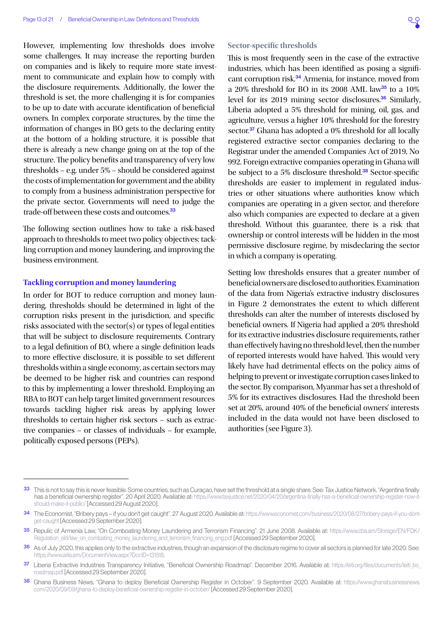However, implementing low thresholds does involve some challenges. It may increase the reporting burden on companies and is likely to require more state investment to communicate and explain how to comply with the disclosure requirements. Additionally, the lower the threshold is set, the more challenging it is for companies to be up to date with accurate identification of beneficial owners. In complex corporate structures, by the time the information of changes in BO gets to the declaring entity at the bottom of a holding structure, it is possible that there is already a new change going on at the top of the structure. The policy benefits and transparency of very low thresholds – e.g. under 5% – should be considered against the costs of implementation for government and the ability to comply from a business administration perspective for the private sector. Governments will need to judge the trade-off between these costs and outcomes.<sup>33</sup>

The following section outlines how to take a risk-based approach to thresholds to meet two policy objectives: tackling corruption and money laundering, and improving the business environment.

#### **Tackling corruption and money laundering**

In order for BOT to reduce corruption and money laundering, thresholds should be determined in light of the corruption risks present in the jurisdiction, and specific risks associated with the sector(s) or types of legal entities that will be subject to disclosure requirements. Contrary to a legal definition of BO, where a single definition leads to more effective disclosure, it is possible to set different thresholds within a single economy, as certain sectors may be deemed to be higher risk and countries can respond to this by implementing a lower threshold. Employing an RBA to BOT can help target limited government resources towards tackling higher risk areas by applying lower thresholds to certain higher risk sectors – such as extractive companies – or classes of individuals – for example, politically exposed persons (PEPs).

#### **Sector-specific thresholds**

This is most frequently seen in the case of the extractive industries, which has been identified as posing a significant corruption risk.<sup>34</sup> Armenia, for instance, moved from a 20% threshold for BO in its 2008 AML law<sup>35</sup> to a  $10\%$ level for its 2019 mining sector disclosures.<sup>36</sup> Similarly, Liberia adopted a 5% threshold for mining, oil, gas, and agriculture, versus a higher 10% threshold for the forestry sector.<sup>37</sup> Ghana has adopted a 0% threshold for all locally registered extractive sector companies declaring to the Registrar under the amended Companies Act of 2019, No 992. Foreign extractive companies operating in Ghana will be subject to a 5% disclosure threshold.<sup>38</sup> Sector-specific thresholds are easier to implement in regulated industries or other situations where authorities know which companies are operating in a given sector, and therefore also which companies are expected to declare at a given threshold. Without this guarantee, there is a risk that ownership or control interests will be hidden in the most permissive disclosure regime, by misdeclaring the sector in which a company is operating.

Setting low thresholds ensures that a greater number of beneficial owners are disclosed to authorities. Examination of the data from Nigeria's extractive industry disclosures in [Figure 2](#page-13-0) demonstrates the extent to which different thresholds can alter the number of interests disclosed by beneficial owners. If Nigeria had applied a 20% threshold for its extractive industries disclosure requirements, rather than effectively having no threshold level, then the number of reported interests would have halved. This would very likely have had detrimental effects on the policy aims of helping to prevent or investigate corruption cases linked to the sector. By comparison, Myanmar has set a threshold of 5% for its extractives disclosures. Had the threshold been set at 20%, around 40% of the beneficial owners' interests included in the data would not have been disclosed to authorities (see [Figure 3\)](#page-14-0).

<sup>33</sup> This is not to say this is never feasible. Some countries, such as Curaçao, have set the threshold at a single share. See: Tax Justice Network, "Argentina finally has a beneficial ownership register". 20 April 2020. Available at: https://www.taxiustice.net/2020/04/20/argentina-finally-has-a-beneficial-ownership-register-now-it[should-make-it-public/](https://www.taxjustice.net/2020/04/20/argentina-finally-has-a-beneficial-ownership-register-now-it-should-make-it-public/) [Accessed 29 August 2020].

<sup>34</sup> The Economist, "Bribery pays - if you don't get caught". 27 August 2020. Available at: [https://www.economist.com/business/2020/08/27/bribery-pays-if-you-dont](https://www.economist.com/business/2020/08/27/bribery-pays-if-you-dont-get-caught)[get-caught](https://www.economist.com/business/2020/08/27/bribery-pays-if-you-dont-get-caught) [Accessed 29 September 2020].

<sup>35</sup> Repulic of Armenia Law, "On Comboating Money Laundering and Terrorism Financing". 21 June 2008. Available at: [https://www.cba.am/Storage/EN/FDK/](https://www.cba.am/Storage/EN/FDK/Regulation_old/law_on_combating_money_laundering_and_terrorism_financing_eng.pdf) [Regulation\\_old/law\\_on\\_combating\\_money\\_laundering\\_and\\_terrorism\\_financing\\_eng.pdf](https://www.cba.am/Storage/EN/FDK/Regulation_old/law_on_combating_money_laundering_and_terrorism_financing_eng.pdf) [Accessed 29 September 2020].

<sup>36</sup> As of July 2020, this applies only to the extractive industries, though an expansion of the disclosure regime to cover all sectors is planned for late 2020. See: <https://www.arlis.am/DocumentView.aspx?DocID=131518>.

<sup>37</sup> Liberia Extractive Industries Transparency Initiative, "Beneficial Ownership Roadmap". December 2016. Available at: [https://eiti.org/files/documents/leiti\\_bo\\_](https://eiti.org/files/documents/leiti_bo_roadmap.pdf) [roadmap.pdf](https://eiti.org/files/documents/leiti_bo_roadmap.pdf) [Accessed 29 September 2020].

<sup>38</sup> Ghana Business News, "Ghana to deploy Beneficial Ownership Register in October". 9 September 2020. Available at: [https://www.ghanabusinessnews.](https://www.ghanabusinessnews.com/2020/09/09/ghana-to-deploy-beneficial-ownership-register-in-october/) [com/2020/09/09/ghana-to-deploy-beneficial-ownership-register-in-october/](https://www.ghanabusinessnews.com/2020/09/09/ghana-to-deploy-beneficial-ownership-register-in-october/) [Accessed 29 September 2020].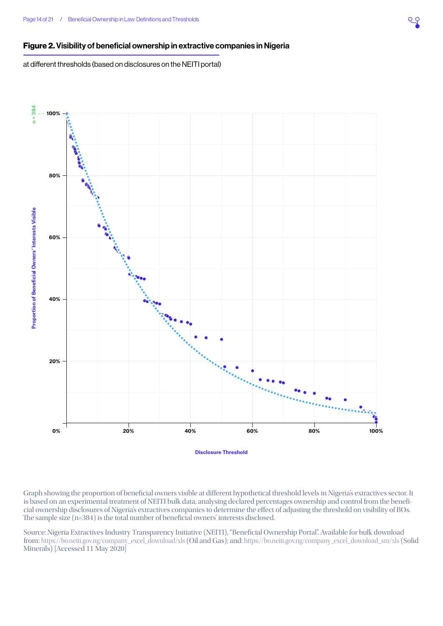#### <span id="page-13-0"></span>Figure 2. Visibility of beneficial ownership in extractive companies in Nigeria

at different thresholds (based on disclosures on the NEITI portal)



Graph showing the proportion of beneficial owners visible at different hypothetical threshold levels in Nigeria's extractives sector. It is based on an experimental treatment of NEITI bulk data, analysing declared percentages ownership and control from the beneficial ownership disclosures of Nigeria's extractives companies to determine the effect of adjusting the threshold on visibility of BOs. The sample size (n=384) is the total number of beneficial owners' interests disclosed.

Source: Nigeria Extractives Industry Transparency Initiative (NEITI), "Beneficial Ownership Portal". Available for bulk download from: [https://bo.neiti.gov.ng/company\\_excel\\_download/xls](https://bo.neiti.gov.ng/company_excel_download/xls) (Oil and Gas); and: [https://bo.neiti.gov.ng/company\\_excel\\_download\\_sm/xls](https://bo.neiti.gov.ng/company_excel_download_sm/xls) (Solid Minerals) [Accessed 11 May 2020]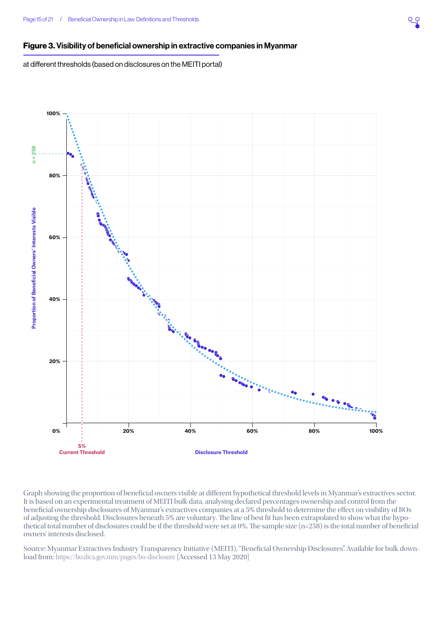#### <span id="page-14-0"></span>Figure 3. Visibility of beneficial ownership in extractive companies in Myanmar

at different thresholds (based on disclosures on the MEITI portal)



Graph showing the proportion of beneficial owners visible at different hypothetical threshold levels in Myanmar's extractives sector. It is based on an experimental treatment of MEITI bulk data, analysing declared percentages ownership and control from the beneficial ownership disclosures of Myanmar's extractives companies at a 5% threshold to determine the effect on visibility of BOs of adjusting the threshold. Disclosures beneath 5% are voluntary. The line of best fit has been extrapolated to show what the hypothetical total number of disclosures could be if the threshold were set at 0%. The sample size (n=258) is the total number of beneficial owners' interests disclosed.

Source: Myanmar Extractives Industry Transparency Initiative (MEITI), "Beneficial Ownership Disclosures". Available for bulk download from: <https://bo.dica.gov.mm/pages/bo-disclosure>[Accessed 13 May 2020]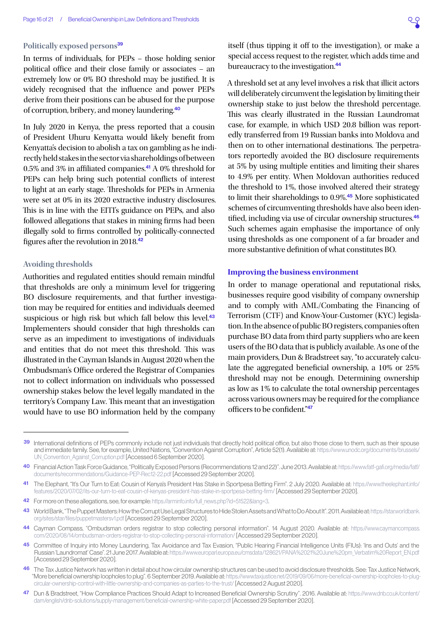#### **Politically exposed persons**<sup>39</sup>

In terms of individuals, for PEPs – those holding senior political office and their close family or associates – an extremely low or 0% BO threshold may be justified. It is widely recognised that the influence and power PEPs derive from their positions can be abused for the purpose of corruption, bribery, and money laundering.<sup>40</sup>

In July 2020 in Kenya, the press reported that a cousin of President Uhuru Kenyatta would likely benefit from Kenyatta's decision to abolish a tax on gambling as he indirectly held stakes in the sector via shareholdings of between 0.5% and 3% in affiliated companies.<sup>41</sup> A 0% threshold for PEPs can help bring such potential conflicts of interest to light at an early stage. Thresholds for PEPs in Armenia were set at 0% in its 2020 extractive industry disclosures. This is in line with the EITI's guidance on PEPs, and also followed allegations that stakes in mining firms had been illegally sold to firms controlled by politically-connected figures after the revolution in 2018.<sup>42</sup>

#### **Avoiding thresholds**

Authorities and regulated entities should remain mindful that thresholds are only a minimum level for triggering BO disclosure requirements, and that further investigation may be required for entities and individuals deemed suspicious or high risk but which fall below this level.<sup>43</sup> Implementers should consider that high thresholds can serve as an impediment to investigations of individuals and entities that do not meet this threshold. This was illustrated in the Cayman Islands in August 2020 when the Ombudsman's Office ordered the Registrar of Companies not to collect information on individuals who possessed ownership stakes below the level legally mandated in the territory's Company Law. This meant that an investigation would have to use BO information held by the company

itself (thus tipping it off to the investigation), or make a special access request to the register, which adds time and bureaucracy to the investigation.<sup>44</sup>

A threshold set at any level involves a risk that illicit actors will deliberately circumvent the legislation by limiting their ownership stake to just below the threshold percentage. This was clearly illustrated in the Russian Laundromat case, for example, in which USD 20.8 billion was reportedly transferred from 19 Russian banks into Moldova and then on to other international destinations. The perpetrators reportedly avoided the BO disclosure requirements at 5% by using multiple entities and limiting their shares to 4.9% per entity. When Moldovan authorities reduced the threshold to 1%, those involved altered their strategy to limit their shareholdings to 0.9%.<sup>45</sup> More sophisticated schemes of circumventing thresholds have also been identified, including via use of circular ownership structures.<sup>46</sup> Such schemes again emphasise the importance of only using thresholds as one component of a far broader and more substantive definition of what constitutes BO.

#### **Improving the business environment**

In order to manage operational and reputational risks, businesses require good visibility of company ownership and to comply with AML/Combating the Financing of Terrorism (CTF) and Know-Your-Customer (KYC) legislation. In the absence of public BO registers, companies often purchase BO data from third party suppliers who are keen users of the BO data that is publicly available. As one of the main providers, Dun & Bradstreet say, "to accurately calculate the aggregated beneficial ownership, a 10% or 25% threshold may not be enough. Determining ownership as low as 1% to calculate the total ownership percentages across various owners may be required for the compliance officers to be confident."47

<sup>39</sup> International definitions of PEPs commonly include not just individuals that directly hold political office, but also those close to them, such as their spouse and immediate family. See, for example, United Nations, "Convention Against Corruption", Article 52(1). Available at: [https://www.unodc.org/documents/brussels/](https://www.unodc.org/documents/brussels/UN_Convention_Against_Corruption.pdf) [UN\\_Convention\\_Against\\_Corruption.pdf](https://www.unodc.org/documents/brussels/UN_Convention_Against_Corruption.pdf) [Accessed 6 September 2020].

<sup>40</sup> Financial Action Task Force Guidance, "Politically Exposed Persons (Recommendations 12 and 22)". June 2013. Available at: [https://www.fatf-gafi.org/media/fatf/](https://www.fatf-gafi.org/media/fatf/documents/recommendations/Guidance-PEP-Rec12-22.pdf) [documents/recommendations/Guidance-PEP-Rec12-22.pdf](https://www.fatf-gafi.org/media/fatf/documents/recommendations/Guidance-PEP-Rec12-22.pdf) [Accessed 29 September 2020].

<sup>41</sup> The Elephant, "It's Our Turn to Eat: Cousin of Kenya's President Has Stake in Sportpesa Betting Firm". 2 July 2020. Available at: [https://www.theelephant.info/](https://www.theelephant.info/features/2020/07/02/its-our-turn-to-eat-cousin-of-kenyas-president-has-stake-in-sportpesa-betting-firm/) [features/2020/07/02/its-our-turn-to-eat-cousin-of-kenyas-president-has-stake-in-sportpesa-betting-firm/](https://www.theelephant.info/features/2020/07/02/its-our-turn-to-eat-cousin-of-kenyas-president-has-stake-in-sportpesa-betting-firm/) [Accessed 29 September 2020].

<sup>42</sup> For more on these allegations, see, for example: [https://arminfo.info/full\\_news.php?id=51522&lang=3.](https://arminfo.info/full_news.php?id=51522&lang=3)

<sup>43</sup> World Bank, "The Puppet Masters: How the Corrupt Use Legal Structures to Hide Stolen Assets and What to Do About It". 2011. Available at: [https://star.worldbank.](https://star.worldbank.org/sites/star/files/puppetmastersv1.pdf) [org/sites/star/files/puppetmastersv1.pdf](https://star.worldbank.org/sites/star/files/puppetmastersv1.pdf) [Accessed 29 September 2020].

<sup>44</sup> Cayman Compass, "Ombudsman orders registrar to stop collecting personal information". 14 August 2020. Available at: [https://www.caymancompass.](https://www.caymancompass.com/2020/08/14/ombudsman-orders-registrar-to-stop-collecting-personal-information/) [com/2020/08/14/ombudsman-orders-registrar-to-stop-collecting-personal-information/](https://www.caymancompass.com/2020/08/14/ombudsman-orders-registrar-to-stop-collecting-personal-information/) [Accessed 29 September 2020].

<sup>45</sup> Committee of Inquiry into Money Laundering, Tax Avoidance and Tax Evasion, "Public Hearing Financial Intelligence Units (FIUs): 'Ins and Outs' and the Russian 'Laundromat' Case". 21 June 2017. Available at: [https://www.europarl.europa.eu/cmsdata/128621/PANA%2021%20June%20pm\\_Verbatim%20Report\\_EN.pdf](https://www.europarl.europa.eu/cmsdata/128621/PANA%2021%20June%20pm_Verbatim%20Report_EN.pdf) [Accessed 29 September 2020].

<sup>46</sup> The Tax Justice Network has written in detail about how circular ownership structures can be used to avoid disclosure thresholds. See: Tax Justice Network, "More beneficial ownership loopholes to plug". 6 September 2019. Available at: [https://www.taxjustice.net/2019/09/06/more-beneficial-ownership-loopholes-to-plug](https://www.taxjustice.net/2019/09/06/more-beneficial-ownership-loopholes-to-plug-circular-ownership-control-with-little-ownership-and-companies-as-parties-to-the-trust/)[circular-ownership-control-with-little-ownership-and-companies-as-parties-to-the-trust/](https://www.taxjustice.net/2019/09/06/more-beneficial-ownership-loopholes-to-plug-circular-ownership-control-with-little-ownership-and-companies-as-parties-to-the-trust/) [Accessed 2 August 2020].

<sup>47</sup> Dun & Bradstreet, "How Compliance Practices Should Adapt to Increased Beneficial Ownership Scrutiny". 2016. Available at: [https://www.dnb.co.uk/content/](https://www.dnb.co.uk/content/dam/english/dnb-solutions/supply-management/beneficial-ownership-white-paper.pdf) [dam/english/dnb-solutions/supply-management/beneficial-ownership-white-paper.pdf](https://www.dnb.co.uk/content/dam/english/dnb-solutions/supply-management/beneficial-ownership-white-paper.pdf) [Accessed 29 September 2020].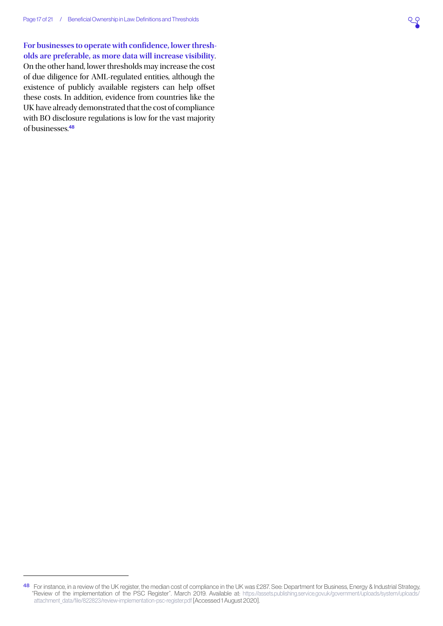**For businesses to operate with confidence, lower thresholds are preferable, as more data will increase visibility**. On the other hand, lower thresholds may increase the cost of due diligence for AML-regulated entities, although the existence of publicly available registers can help offset these costs. In addition, evidence from countries like the UK have already demonstrated that the cost of compliance with BO disclosure regulations is low for the vast majority of businesses.<sup>48</sup>

<sup>48</sup> For instance, in a review of the UK register, the median cost of compliance in the UK was £287. See: Department for Business, Energy & Industrial Strategy, "Review of the implementation of the PSC Register". March 2019. Available at: [https://assets.publishing.service.gov.uk/government/uploads/system/uploads/](https://assets.publishing.service.gov.uk/government/uploads/system/uploads/attachment_data/file/822823/review-implementation-psc-register.pdf) [attachment\\_data/file/822823/review-implementation-psc-register.pdf](https://assets.publishing.service.gov.uk/government/uploads/system/uploads/attachment_data/file/822823/review-implementation-psc-register.pdf) [Accessed 1 August 2020].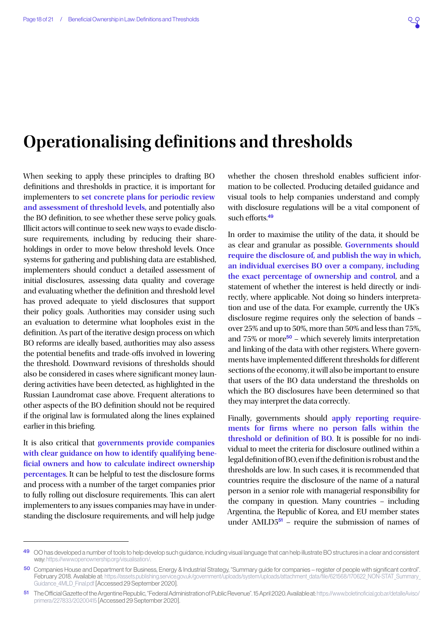### <span id="page-17-0"></span>**Operationalising definitions and thresholds**

When seeking to apply these principles to drafting BO definitions and thresholds in practice, it is important for implementers to **set concrete plans for periodic review and assessment of threshold levels,** and potentially also the BO definition, to see whether these serve policy goals. Illicit actors will continue to seek new ways to evade disclosure requirements, including by reducing their shareholdings in order to move below threshold levels. Once systems for gathering and publishing data are established, implementers should conduct a detailed assessment of initial disclosures, assessing data quality and coverage and evaluating whether the definition and threshold level has proved adequate to yield disclosures that support their policy goals. Authorities may consider using such an evaluation to determine what loopholes exist in the definition. As part of the iterative design process on which BO reforms are ideally based, authorities may also assess the potential benefits and trade-offs involved in lowering the threshold. Downward revisions of thresholds should also be considered in cases where significant money laundering activities have been detected, as highlighted in the Russian Laundromat case above. Frequent alterations to other aspects of the BO definition should not be required if the original law is formulated along the lines explained earlier in this briefing.

<span id="page-17-2"></span>It is also critical that **governments provide companies with clear guidance on how to identify qualifying beneficial owners and how to calculate indirect ownership percentages**. It can be helpful to test the disclosure forms and process with a number of the target companies prior to fully rolling out disclosure requirements. This can alert implementers to any issues companies may have in understanding the disclosure requirements, and will help judge

whether the chosen threshold enables sufficient information to be collected. Producing detailed guidance and visual tools to help companies understand and comply with disclosure regulations will be a vital component of such efforts<sup>49</sup>

<span id="page-17-3"></span>In order to maximise the utility of the data, it should be as clear and granular as possible. **Governments should require the disclosure of, and publish the way in which, an individual exercises BO over a company, including the exact percentage of ownership and control**, and a statement of whether the interest is held directly or indirectly, where applicable. Not doing so hinders interpretation and use of the data. For example, currently the UK's disclosure regime requires only the selection of bands – over 25% and up to 50%, more than 50% and less than 75%, and  $75\%$  or more<sup>50</sup> – which severely limits interpretation and linking of the data with other registers. Where governments have implemented different thresholds for different sections of the economy, it will also be important to ensure that users of the BO data understand the thresholds on which the BO disclosures have been determined so that they may interpret the data correctly.

<span id="page-17-1"></span>Finally, governments should **apply reporting requirements for firms where no person falls within the threshold or definition of BO.** It is possible for no individual to meet the criteria for disclosure outlined within a legal definition of BO, even if the definition is robust and the thresholds are low. In such cases, it is recommended that countries require the disclosure of the name of a natural person in a senior role with managerial responsibility for the company in question. Many countries – including Argentina, the Republic of Korea, and EU member states under AMLD $5<sup>51</sup>$  – require the submission of names of

<sup>49</sup> OO has developed a number of tools to help develop such guidance, including visual language that can help illustrate BO structures in a clear and consistent way:<https://www.openownership.org/visualisation/>.

<sup>50</sup> Companies House and Department for Business, Energy & Industrial Strategy, "Summary guide for companies – register of people with significant control". February 2018. Available at: https://assets.publishing.service.gov.uk/government/uploads/system/uploads/attachment\_data/file/621568/170622\_NON-STAT\_Summary Guidance 4MLD Final.pdf [Accessed 29 September 2020].

<sup>51</sup> The Official Gazette of the Argentine Republic, "Federal Administration of Public Revenue". 15 April 2020. Available at: [https://www.boletinoficial.gob.ar/detalleAviso/](https://www.boletinoficial.gob.ar/detalleAviso/primera/227833/20200415) [primera/227833/20200415](https://www.boletinoficial.gob.ar/detalleAviso/primera/227833/20200415) [Accessed 29 September 2020].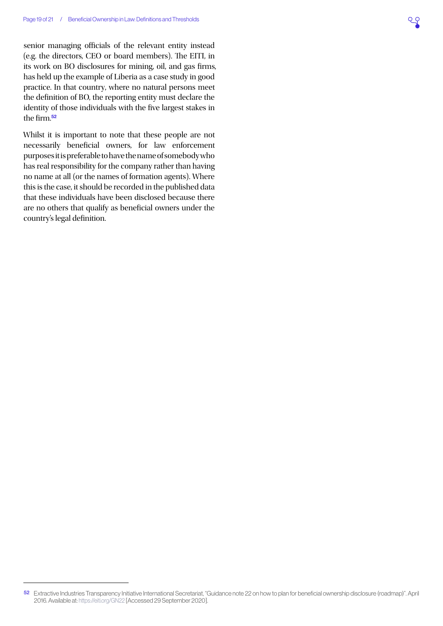senior managing officials of the relevant entity instead (e.g. the directors, CEO or board members). The EITI, in its work on BO disclosures for mining, oil, and gas firms, has held up the example of Liberia as a case study in good practice. In that country, where no natural persons meet the definition of BO, the reporting entity must declare the identity of those individuals with the five largest stakes in the firm.<sup>52</sup>

Whilst it is important to note that these people are not necessarily beneficial owners, for law enforcement purposes it is preferable to have the name of somebody who has real responsibility for the company rather than having no name at all (or the names of formation agents). Where this is the case, it should be recorded in the published data that these individuals have been disclosed because there are no others that qualify as beneficial owners under the country's legal definition.

<sup>52</sup> Extractive Industries Transparency Initiative International Secretariat, "Guidance note 22 on how to plan for beneficial ownership disclosure (roadmap)". April 2016. Available at: <https://eiti.org/GN22>[Accessed 29 September 2020].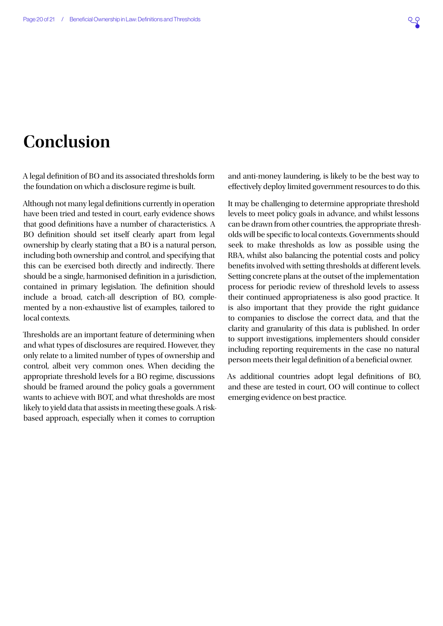## <span id="page-19-0"></span>**Conclusion**

A legal definition of BO and its associated thresholds form the foundation on which a disclosure regime is built.

Although not many legal definitions currently in operation have been tried and tested in court, early evidence shows that good definitions have a number of characteristics. A BO definition should set itself clearly apart from legal ownership by clearly stating that a BO is a natural person, including both ownership and control, and specifying that this can be exercised both directly and indirectly. There should be a single, harmonised definition in a jurisdiction, contained in primary legislation. The definition should include a broad, catch-all description of BO, complemented by a non-exhaustive list of examples, tailored to local contexts.

Thresholds are an important feature of determining when and what types of disclosures are required. However, they only relate to a limited number of types of ownership and control, albeit very common ones. When deciding the appropriate threshold levels for a BO regime, discussions should be framed around the policy goals a government wants to achieve with BOT, and what thresholds are most likely to yield data that assists in meeting these goals. A riskbased approach, especially when it comes to corruption

and anti-money laundering, is likely to be the best way to effectively deploy limited government resources to do this.

It may be challenging to determine appropriate threshold levels to meet policy goals in advance, and whilst lessons can be drawn from other countries, the appropriate thresholds will be specific to local contexts. Governments should seek to make thresholds as low as possible using the RBA, whilst also balancing the potential costs and policy benefits involved with setting thresholds at different levels. Setting concrete plans at the outset of the implementation process for periodic review of threshold levels to assess their continued appropriateness is also good practice. It is also important that they provide the right guidance to companies to disclose the correct data, and that the clarity and granularity of this data is published. In order to support investigations, implementers should consider including reporting requirements in the case no natural person meets their legal definition of a beneficial owner.

As additional countries adopt legal definitions of BO, and these are tested in court, OO will continue to collect emerging evidence on best practice.